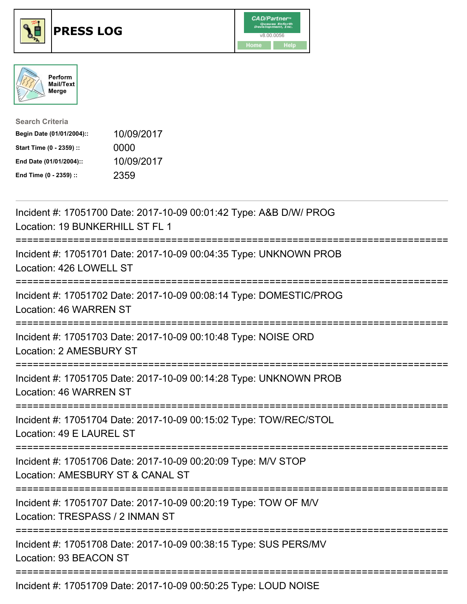





| <b>Search Criteria</b>    |            |
|---------------------------|------------|
| Begin Date (01/01/2004):: | 10/09/2017 |
| Start Time (0 - 2359) ::  | 0000       |
| End Date (01/01/2004)::   | 10/09/2017 |
| End Time (0 - 2359) ::    | 2359       |

| Incident #: 17051700 Date: 2017-10-09 00:01:42 Type: A&B D/W/ PROG<br>Location: 19 BUNKERHILL ST FL 1                           |
|---------------------------------------------------------------------------------------------------------------------------------|
| Incident #: 17051701 Date: 2017-10-09 00:04:35 Type: UNKNOWN PROB<br>Location: 426 LOWELL ST<br>----------------                |
| Incident #: 17051702 Date: 2017-10-09 00:08:14 Type: DOMESTIC/PROG<br>Location: 46 WARREN ST                                    |
| Incident #: 17051703 Date: 2017-10-09 00:10:48 Type: NOISE ORD<br>Location: 2 AMESBURY ST                                       |
| Incident #: 17051705 Date: 2017-10-09 00:14:28 Type: UNKNOWN PROB<br>Location: 46 WARREN ST                                     |
| Incident #: 17051704 Date: 2017-10-09 00:15:02 Type: TOW/REC/STOL<br>Location: 49 E LAUREL ST<br>.-----------------             |
| Incident #: 17051706 Date: 2017-10-09 00:20:09 Type: M/V STOP<br>Location: AMESBURY ST & CANAL ST<br>========================== |
| Incident #: 17051707 Date: 2017-10-09 00:20:19 Type: TOW OF M/V<br>Location: TRESPASS / 2 INMAN ST<br>-----------------------   |
| Incident #: 17051708 Date: 2017-10-09 00:38:15 Type: SUS PERS/MV<br>Location: 93 BEACON ST                                      |
| Incident #: 17051709 Date: 2017-10-09 00:50:25 Type: LOUD NOISE                                                                 |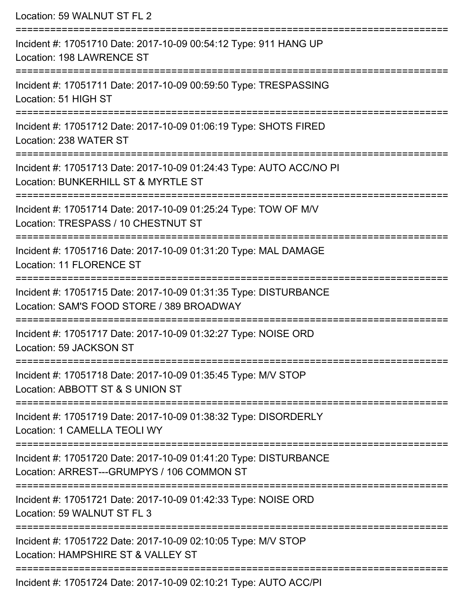Location: 59 WALNUT ST FL 2 =========================================================================== Incident #: 17051710 Date: 2017-10-09 00:54:12 Type: 911 HANG UP Location: 198 LAWRENCE ST =========================================================================== Incident #: 17051711 Date: 2017-10-09 00:59:50 Type: TRESPASSING Location: 51 HIGH ST =========================================================================== Incident #: 17051712 Date: 2017-10-09 01:06:19 Type: SHOTS FIRED Location: 238 WATER ST =========================================================================== Incident #: 17051713 Date: 2017-10-09 01:24:43 Type: AUTO ACC/NO PI Location: BUNKERHILL ST & MYRTLE ST =========================================================================== Incident #: 17051714 Date: 2017-10-09 01:25:24 Type: TOW OF M/V Location: TRESPASS / 10 CHESTNUT ST =========================================================================== Incident #: 17051716 Date: 2017-10-09 01:31:20 Type: MAL DAMAGE Location: 11 FLORENCE ST =========================================================================== Incident #: 17051715 Date: 2017-10-09 01:31:35 Type: DISTURBANCE Location: SAM'S FOOD STORE / 389 BROADWAY =========================================================================== Incident #: 17051717 Date: 2017-10-09 01:32:27 Type: NOISE ORD Location: 59 JACKSON ST =========================================================================== Incident #: 17051718 Date: 2017-10-09 01:35:45 Type: M/V STOP Location: ABBOTT ST & S UNION ST =========================================================================== Incident #: 17051719 Date: 2017-10-09 01:38:32 Type: DISORDERLY Location: 1 CAMELLA TEOLI WY =========================================================================== Incident #: 17051720 Date: 2017-10-09 01:41:20 Type: DISTURBANCE Location: ARREST---GRUMPYS / 106 COMMON ST =========================================================================== Incident #: 17051721 Date: 2017-10-09 01:42:33 Type: NOISE ORD Location: 59 WALNUT ST FL 3 =========================================================================== Incident #: 17051722 Date: 2017-10-09 02:10:05 Type: M/V STOP Location: HAMPSHIRF ST & VALLEY ST =========================================================================== Incident #: 17051724 Date: 2017-10-09 02:10:21 Type: AUTO ACC/PI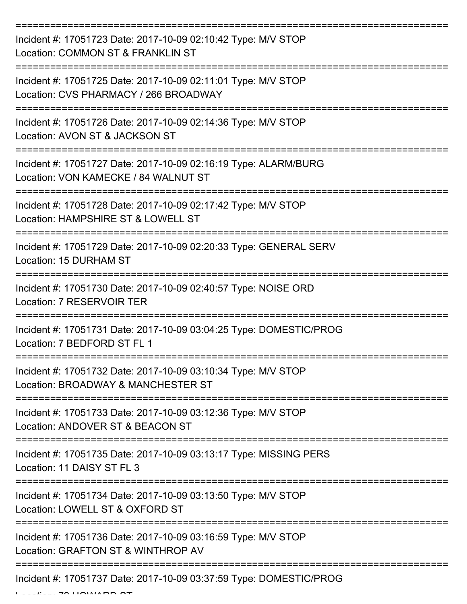| Incident #: 17051723 Date: 2017-10-09 02:10:42 Type: M/V STOP<br>Location: COMMON ST & FRANKLIN ST      |
|---------------------------------------------------------------------------------------------------------|
| Incident #: 17051725 Date: 2017-10-09 02:11:01 Type: M/V STOP<br>Location: CVS PHARMACY / 266 BROADWAY  |
| Incident #: 17051726 Date: 2017-10-09 02:14:36 Type: M/V STOP<br>Location: AVON ST & JACKSON ST         |
| Incident #: 17051727 Date: 2017-10-09 02:16:19 Type: ALARM/BURG<br>Location: VON KAMECKE / 84 WALNUT ST |
| Incident #: 17051728 Date: 2017-10-09 02:17:42 Type: M/V STOP<br>Location: HAMPSHIRE ST & LOWELL ST     |
| Incident #: 17051729 Date: 2017-10-09 02:20:33 Type: GENERAL SERV<br>Location: 15 DURHAM ST             |
| Incident #: 17051730 Date: 2017-10-09 02:40:57 Type: NOISE ORD<br>Location: 7 RESERVOIR TER             |
| Incident #: 17051731 Date: 2017-10-09 03:04:25 Type: DOMESTIC/PROG<br>Location: 7 BEDFORD ST FL 1       |
| Incident #: 17051732 Date: 2017-10-09 03:10:34 Type: M/V STOP<br>Location: BROADWAY & MANCHESTER ST     |
| Incident #: 17051733 Date: 2017-10-09 03:12:36 Type: M/V STOP<br>Location: ANDOVER ST & BEACON ST       |
| Incident #: 17051735 Date: 2017-10-09 03:13:17 Type: MISSING PERS<br>Location: 11 DAISY ST FL 3         |
| Incident #: 17051734 Date: 2017-10-09 03:13:50 Type: M/V STOP<br>Location: LOWELL ST & OXFORD ST        |
| Incident #: 17051736 Date: 2017-10-09 03:16:59 Type: M/V STOP<br>Location: GRAFTON ST & WINTHROP AV     |
| Incident #: 17051737 Date: 2017-10-09 03:37:59 Type: DOMESTIC/PROG                                      |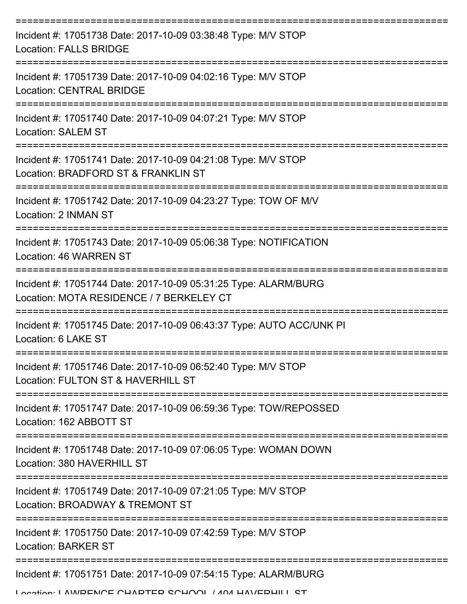| Incident #: 17051738 Date: 2017-10-09 03:38:48 Type: M/V STOP<br><b>Location: FALLS BRIDGE</b>              |
|-------------------------------------------------------------------------------------------------------------|
| Incident #: 17051739 Date: 2017-10-09 04:02:16 Type: M/V STOP<br><b>Location: CENTRAL BRIDGE</b>            |
| Incident #: 17051740 Date: 2017-10-09 04:07:21 Type: M/V STOP<br><b>Location: SALEM ST</b>                  |
| Incident #: 17051741 Date: 2017-10-09 04:21:08 Type: M/V STOP<br>Location: BRADFORD ST & FRANKLIN ST        |
| Incident #: 17051742 Date: 2017-10-09 04:23:27 Type: TOW OF M/V<br>Location: 2 INMAN ST                     |
| Incident #: 17051743 Date: 2017-10-09 05:06:38 Type: NOTIFICATION<br>Location: 46 WARREN ST                 |
| Incident #: 17051744 Date: 2017-10-09 05:31:25 Type: ALARM/BURG<br>Location: MOTA RESIDENCE / 7 BERKELEY CT |
| Incident #: 17051745 Date: 2017-10-09 06:43:37 Type: AUTO ACC/UNK PI<br>Location: 6 LAKE ST                 |
| Incident #: 17051746 Date: 2017-10-09 06:52:40 Type: M/V STOP<br>Location: FULTON ST & HAVERHILL ST         |
| Incident #: 17051747 Date: 2017-10-09 06:59:36 Type: TOW/REPOSSED<br>Location: 162 ABBOTT ST                |
| Incident #: 17051748 Date: 2017-10-09 07:06:05 Type: WOMAN DOWN<br>Location: 380 HAVERHILL ST               |
| Incident #: 17051749 Date: 2017-10-09 07:21:05 Type: M/V STOP<br>Location: BROADWAY & TREMONT ST            |
| Incident #: 17051750 Date: 2017-10-09 07:42:59 Type: M/V STOP<br><b>Location: BARKER ST</b>                 |
| Incident #: 17051751 Date: 2017-10-09 07:54:15 Type: ALARM/BURG                                             |
| I anatian: I AM/DENICE CHADTED CCHOOL / ANA HAV/EDHILL CT                                                   |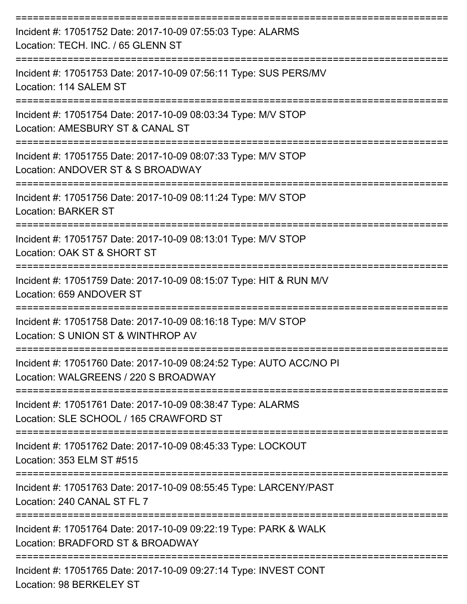| Incident #: 17051752 Date: 2017-10-09 07:55:03 Type: ALARMS<br>Location: TECH. INC. / 65 GLENN ST           |
|-------------------------------------------------------------------------------------------------------------|
| Incident #: 17051753 Date: 2017-10-09 07:56:11 Type: SUS PERS/MV<br>Location: 114 SALEM ST                  |
| Incident #: 17051754 Date: 2017-10-09 08:03:34 Type: M/V STOP<br>Location: AMESBURY ST & CANAL ST           |
| Incident #: 17051755 Date: 2017-10-09 08:07:33 Type: M/V STOP<br>Location: ANDOVER ST & S BROADWAY          |
| Incident #: 17051756 Date: 2017-10-09 08:11:24 Type: M/V STOP<br><b>Location: BARKER ST</b>                 |
| Incident #: 17051757 Date: 2017-10-09 08:13:01 Type: M/V STOP<br>Location: OAK ST & SHORT ST                |
| Incident #: 17051759 Date: 2017-10-09 08:15:07 Type: HIT & RUN M/V<br>Location: 659 ANDOVER ST              |
| Incident #: 17051758 Date: 2017-10-09 08:16:18 Type: M/V STOP<br>Location: S UNION ST & WINTHROP AV         |
| Incident #: 17051760 Date: 2017-10-09 08:24:52 Type: AUTO ACC/NO PI<br>Location: WALGREENS / 220 S BROADWAY |
| Incident #: 17051761 Date: 2017-10-09 08:38:47 Type: ALARMS<br>Location: SLE SCHOOL / 165 CRAWFORD ST       |
| Incident #: 17051762 Date: 2017-10-09 08:45:33 Type: LOCKOUT<br>Location: 353 ELM ST #515                   |
| Incident #: 17051763 Date: 2017-10-09 08:55:45 Type: LARCENY/PAST<br>Location: 240 CANAL ST FL 7            |
| Incident #: 17051764 Date: 2017-10-09 09:22:19 Type: PARK & WALK<br>Location: BRADFORD ST & BROADWAY        |
| Incident #: 17051765 Date: 2017-10-09 09:27:14 Type: INVEST CONT                                            |

Location: 98 BERKELEY ST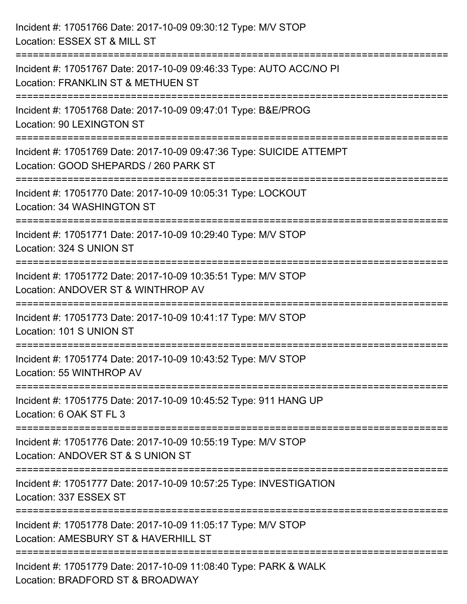| Incident #: 17051766 Date: 2017-10-09 09:30:12 Type: M/V STOP<br>Location: ESSEX ST & MILL ST                                                    |
|--------------------------------------------------------------------------------------------------------------------------------------------------|
| Incident #: 17051767 Date: 2017-10-09 09:46:33 Type: AUTO ACC/NO PI<br>Location: FRANKLIN ST & METHUEN ST<br>------------------------            |
| Incident #: 17051768 Date: 2017-10-09 09:47:01 Type: B&E/PROG<br>Location: 90 LEXINGTON ST                                                       |
| Incident #: 17051769 Date: 2017-10-09 09:47:36 Type: SUICIDE ATTEMPT<br>Location: GOOD SHEPARDS / 260 PARK ST<br>:============================== |
| Incident #: 17051770 Date: 2017-10-09 10:05:31 Type: LOCKOUT<br>Location: 34 WASHINGTON ST                                                       |
| Incident #: 17051771 Date: 2017-10-09 10:29:40 Type: M/V STOP<br>Location: 324 S UNION ST                                                        |
| Incident #: 17051772 Date: 2017-10-09 10:35:51 Type: M/V STOP<br>Location: ANDOVER ST & WINTHROP AV                                              |
| Incident #: 17051773 Date: 2017-10-09 10:41:17 Type: M/V STOP<br>Location: 101 S UNION ST                                                        |
| Incident #: 17051774 Date: 2017-10-09 10:43:52 Type: M/V STOP<br>Location: 55 WINTHROP AV                                                        |
| Incident #: 17051775 Date: 2017-10-09 10:45:52 Type: 911 HANG UP<br>Location: 6 OAK ST FL 3                                                      |
| Incident #: 17051776 Date: 2017-10-09 10:55:19 Type: M/V STOP<br>Location: ANDOVER ST & S UNION ST                                               |
| -------------------------<br>Incident #: 17051777 Date: 2017-10-09 10:57:25 Type: INVESTIGATION<br>Location: 337 ESSEX ST                        |
| Incident #: 17051778 Date: 2017-10-09 11:05:17 Type: M/V STOP<br>Location: AMESBURY ST & HAVERHILL ST                                            |
| Incident #: 17051779 Date: 2017-10-09 11:08:40 Type: PARK & WALK<br>Location: BRADFORD ST & BROADWAY                                             |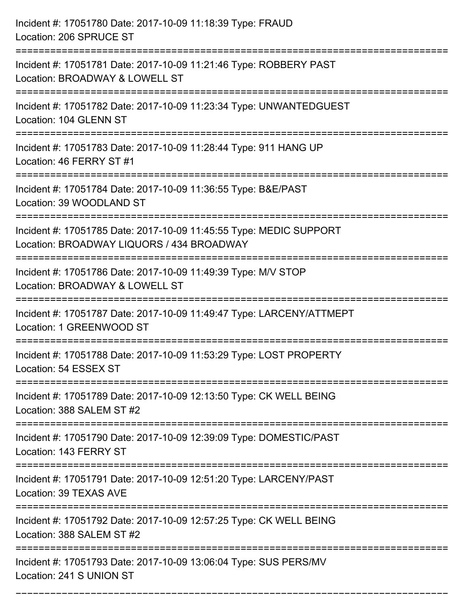| Incident #: 17051780 Date: 2017-10-09 11:18:39 Type: FRAUD<br>Location: 206 SPRUCE ST                           |
|-----------------------------------------------------------------------------------------------------------------|
| Incident #: 17051781 Date: 2017-10-09 11:21:46 Type: ROBBERY PAST<br>Location: BROADWAY & LOWELL ST             |
| Incident #: 17051782 Date: 2017-10-09 11:23:34 Type: UNWANTEDGUEST<br>Location: 104 GLENN ST                    |
| Incident #: 17051783 Date: 2017-10-09 11:28:44 Type: 911 HANG UP<br>Location: 46 FERRY ST #1                    |
| Incident #: 17051784 Date: 2017-10-09 11:36:55 Type: B&E/PAST<br>Location: 39 WOODLAND ST                       |
| Incident #: 17051785 Date: 2017-10-09 11:45:55 Type: MEDIC SUPPORT<br>Location: BROADWAY LIQUORS / 434 BROADWAY |
| Incident #: 17051786 Date: 2017-10-09 11:49:39 Type: M/V STOP<br>Location: BROADWAY & LOWELL ST                 |
| Incident #: 17051787 Date: 2017-10-09 11:49:47 Type: LARCENY/ATTMEPT<br>Location: 1 GREENWOOD ST                |
| Incident #: 17051788 Date: 2017-10-09 11:53:29 Type: LOST PROPERTY<br>Location: 54 ESSEX ST                     |
| Incident #: 17051789 Date: 2017-10-09 12:13:50 Type: CK WELL BEING<br>Location: 388 SALEM ST #2                 |
| Incident #: 17051790 Date: 2017-10-09 12:39:09 Type: DOMESTIC/PAST<br>Location: 143 FERRY ST                    |
| Incident #: 17051791 Date: 2017-10-09 12:51:20 Type: LARCENY/PAST<br>Location: 39 TEXAS AVE                     |
| Incident #: 17051792 Date: 2017-10-09 12:57:25 Type: CK WELL BEING<br>Location: 388 SALEM ST #2                 |
| Incident #: 17051793 Date: 2017-10-09 13:06:04 Type: SUS PERS/MV<br>Location: 241 S UNION ST                    |

===========================================================================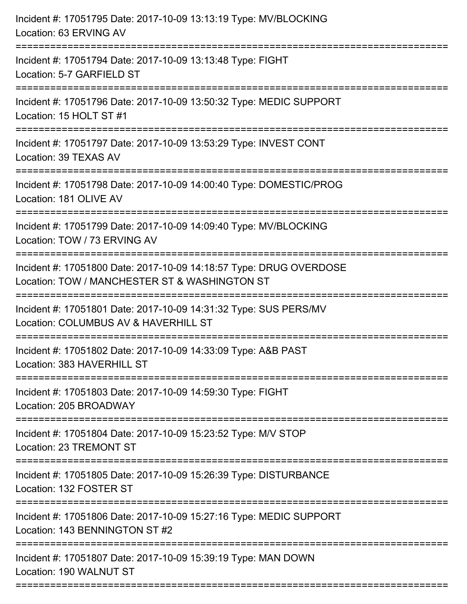| Incident #: 17051795 Date: 2017-10-09 13:13:19 Type: MV/BLOCKING<br>Location: 63 ERVING AV                                                 |
|--------------------------------------------------------------------------------------------------------------------------------------------|
| Incident #: 17051794 Date: 2017-10-09 13:13:48 Type: FIGHT<br>Location: 5-7 GARFIELD ST                                                    |
| Incident #: 17051796 Date: 2017-10-09 13:50:32 Type: MEDIC SUPPORT<br>Location: 15 HOLT ST #1                                              |
| Incident #: 17051797 Date: 2017-10-09 13:53:29 Type: INVEST CONT<br>Location: 39 TEXAS AV                                                  |
| Incident #: 17051798 Date: 2017-10-09 14:00:40 Type: DOMESTIC/PROG<br>Location: 181 OLIVE AV                                               |
| Incident #: 17051799 Date: 2017-10-09 14:09:40 Type: MV/BLOCKING<br>Location: TOW / 73 ERVING AV                                           |
| Incident #: 17051800 Date: 2017-10-09 14:18:57 Type: DRUG OVERDOSE<br>Location: TOW / MANCHESTER ST & WASHINGTON ST<br>=================== |
| Incident #: 17051801 Date: 2017-10-09 14:31:32 Type: SUS PERS/MV<br>Location: COLUMBUS AV & HAVERHILL ST                                   |
| Incident #: 17051802 Date: 2017-10-09 14:33:09 Type: A&B PAST<br>Location: 383 HAVERHILL ST<br>----------------                            |
| Incident #: 17051803 Date: 2017-10-09 14:59:30 Type: FIGHT<br>Location: 205 BROADWAY                                                       |
| Incident #: 17051804 Date: 2017-10-09 15:23:52 Type: M/V STOP<br>Location: 23 TREMONT ST                                                   |
| Incident #: 17051805 Date: 2017-10-09 15:26:39 Type: DISTURBANCE<br>Location: 132 FOSTER ST                                                |
| Incident #: 17051806 Date: 2017-10-09 15:27:16 Type: MEDIC SUPPORT<br>Location: 143 BENNINGTON ST #2                                       |
| Incident #: 17051807 Date: 2017-10-09 15:39:19 Type: MAN DOWN<br>Location: 190 WALNUT ST                                                   |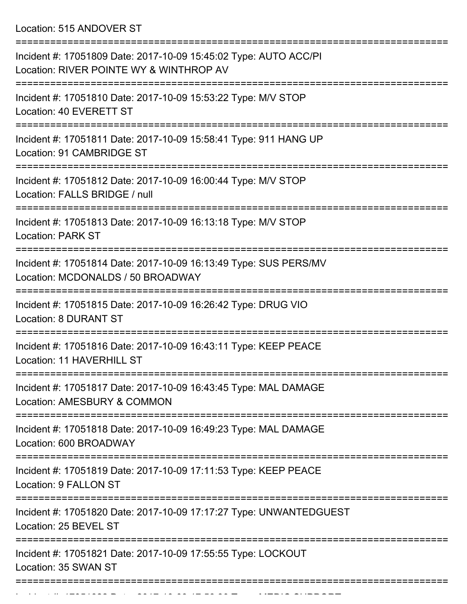Location: 515 ANDOVER ST

| Incident #: 17051809 Date: 2017-10-09 15:45:02 Type: AUTO ACC/PI<br>Location: RIVER POINTE WY & WINTHROP AV |
|-------------------------------------------------------------------------------------------------------------|
| Incident #: 17051810 Date: 2017-10-09 15:53:22 Type: M/V STOP<br>Location: 40 EVERETT ST                    |
| Incident #: 17051811 Date: 2017-10-09 15:58:41 Type: 911 HANG UP<br>Location: 91 CAMBRIDGE ST               |
| Incident #: 17051812 Date: 2017-10-09 16:00:44 Type: M/V STOP<br>Location: FALLS BRIDGE / null              |
| Incident #: 17051813 Date: 2017-10-09 16:13:18 Type: M/V STOP<br><b>Location: PARK ST</b>                   |
| Incident #: 17051814 Date: 2017-10-09 16:13:49 Type: SUS PERS/MV<br>Location: MCDONALDS / 50 BROADWAY       |
| Incident #: 17051815 Date: 2017-10-09 16:26:42 Type: DRUG VIO<br><b>Location: 8 DURANT ST</b>               |
| Incident #: 17051816 Date: 2017-10-09 16:43:11 Type: KEEP PEACE<br>Location: 11 HAVERHILL ST                |
| Incident #: 17051817 Date: 2017-10-09 16:43:45 Type: MAL DAMAGE<br>Location: AMESBURY & COMMON              |
| Incident #: 17051818 Date: 2017-10-09 16:49:23 Type: MAL DAMAGE<br>Location: 600 BROADWAY                   |
| Incident #: 17051819 Date: 2017-10-09 17:11:53 Type: KEEP PEACE<br>Location: 9 FALLON ST                    |
| Incident #: 17051820 Date: 2017-10-09 17:17:27 Type: UNWANTEDGUEST<br>Location: 25 BEVEL ST                 |
| Incident #: 17051821 Date: 2017-10-09 17:55:55 Type: LOCKOUT<br>Location: 35 SWAN ST                        |
|                                                                                                             |

 $I$  Incident  $I$  :  $I$  is 17051822 Date: 2017 10 09 17:56:30 Type: MEDIC SUPPORT 10 09 17:56:30 Type: MEDIC SUPPORT 10 09 17:56:30 Type: MEDIC SUPPORT 10:56:30 Type: MEDIC SUPPORT 10:56:30 Type: MEDIC SUPPORT 10:56:30 Typ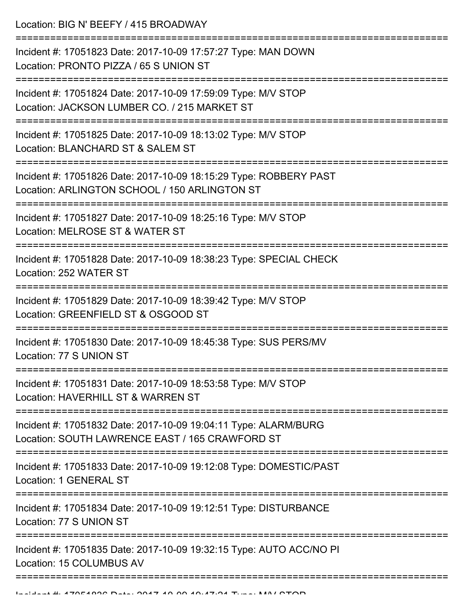Location: BIG N' BEEFY / 415 BROADWAY

| Incident #: 17051823 Date: 2017-10-09 17:57:27 Type: MAN DOWN<br>Location: PRONTO PIZZA / 65 S UNION ST            |
|--------------------------------------------------------------------------------------------------------------------|
| Incident #: 17051824 Date: 2017-10-09 17:59:09 Type: M/V STOP<br>Location: JACKSON LUMBER CO. / 215 MARKET ST      |
| Incident #: 17051825 Date: 2017-10-09 18:13:02 Type: M/V STOP<br>Location: BLANCHARD ST & SALEM ST                 |
| Incident #: 17051826 Date: 2017-10-09 18:15:29 Type: ROBBERY PAST<br>Location: ARLINGTON SCHOOL / 150 ARLINGTON ST |
| Incident #: 17051827 Date: 2017-10-09 18:25:16 Type: M/V STOP<br>Location: MELROSE ST & WATER ST                   |
| Incident #: 17051828 Date: 2017-10-09 18:38:23 Type: SPECIAL CHECK<br>Location: 252 WATER ST                       |
| Incident #: 17051829 Date: 2017-10-09 18:39:42 Type: M/V STOP<br>Location: GREENFIELD ST & OSGOOD ST               |
| Incident #: 17051830 Date: 2017-10-09 18:45:38 Type: SUS PERS/MV<br>Location: 77 S UNION ST                        |
| Incident #: 17051831 Date: 2017-10-09 18:53:58 Type: M/V STOP<br>Location: HAVERHILL ST & WARREN ST                |
| Incident #: 17051832 Date: 2017-10-09 19:04:11 Type: ALARM/BURG<br>Location: SOUTH LAWRENCE EAST / 165 CRAWFORD ST |
| Incident #: 17051833 Date: 2017-10-09 19:12:08 Type: DOMESTIC/PAST<br>Location: 1 GENERAL ST                       |
| Incident #: 17051834 Date: 2017-10-09 19:12:51 Type: DISTURBANCE<br>Location: 77 S UNION ST                        |
| Incident #: 17051835 Date: 2017-10-09 19:32:15 Type: AUTO ACC/NO PI<br>Location: 15 COLUMBUS AV                    |
|                                                                                                                    |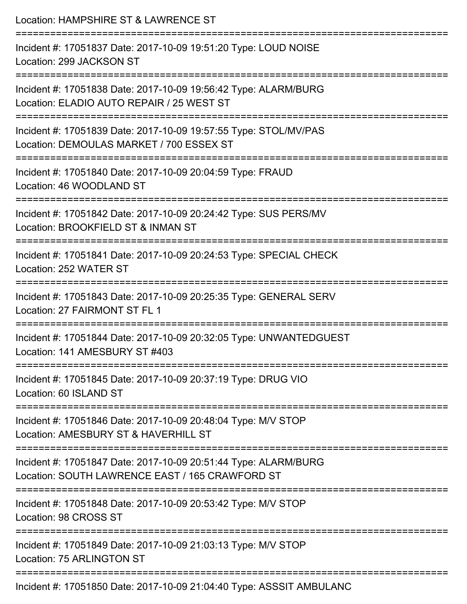| Location: HAMPSHIRE ST & LAWRENCE ST                                                                               |
|--------------------------------------------------------------------------------------------------------------------|
| Incident #: 17051837 Date: 2017-10-09 19:51:20 Type: LOUD NOISE<br>Location: 299 JACKSON ST                        |
| Incident #: 17051838 Date: 2017-10-09 19:56:42 Type: ALARM/BURG<br>Location: ELADIO AUTO REPAIR / 25 WEST ST       |
| Incident #: 17051839 Date: 2017-10-09 19:57:55 Type: STOL/MV/PAS<br>Location: DEMOULAS MARKET / 700 ESSEX ST       |
| :====================<br>Incident #: 17051840 Date: 2017-10-09 20:04:59 Type: FRAUD<br>Location: 46 WOODLAND ST    |
| Incident #: 17051842 Date: 2017-10-09 20:24:42 Type: SUS PERS/MV<br>Location: BROOKFIELD ST & INMAN ST             |
| Incident #: 17051841 Date: 2017-10-09 20:24:53 Type: SPECIAL CHECK<br>Location: 252 WATER ST                       |
| Incident #: 17051843 Date: 2017-10-09 20:25:35 Type: GENERAL SERV<br>Location: 27 FAIRMONT ST FL 1                 |
| Incident #: 17051844 Date: 2017-10-09 20:32:05 Type: UNWANTEDGUEST<br>Location: 141 AMESBURY ST #403               |
| Incident #: 17051845 Date: 2017-10-09 20:37:19 Type: DRUG VIO<br>Location: 60 ISLAND ST                            |
| Incident #: 17051846 Date: 2017-10-09 20:48:04 Type: M/V STOP<br>Location: AMESBURY ST & HAVERHILL ST              |
| Incident #: 17051847 Date: 2017-10-09 20:51:44 Type: ALARM/BURG<br>Location: SOUTH LAWRENCE EAST / 165 CRAWFORD ST |
| Incident #: 17051848 Date: 2017-10-09 20:53:42 Type: M/V STOP<br>Location: 98 CROSS ST                             |
| Incident #: 17051849 Date: 2017-10-09 21:03:13 Type: M/V STOP<br>Location: 75 ARLINGTON ST                         |
| Incident #: 17051850 Date: 2017-10-09 21:04:40 Type: ASSSIT AMBULANC                                               |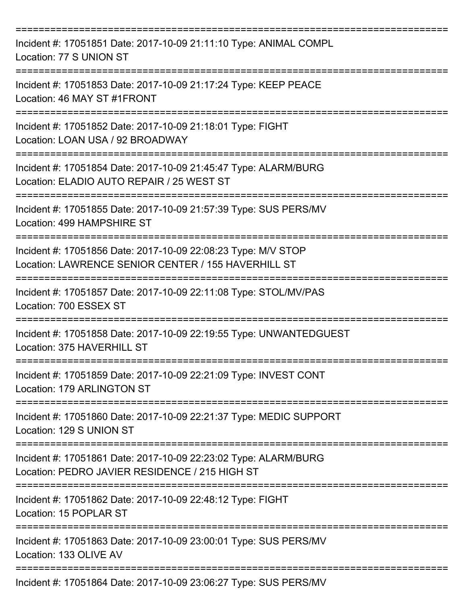| Incident #: 17051851 Date: 2017-10-09 21:11:10 Type: ANIMAL COMPL<br>Location: 77 S UNION ST                         |
|----------------------------------------------------------------------------------------------------------------------|
| Incident #: 17051853 Date: 2017-10-09 21:17:24 Type: KEEP PEACE<br>Location: 46 MAY ST #1FRONT                       |
| Incident #: 17051852 Date: 2017-10-09 21:18:01 Type: FIGHT<br>Location: LOAN USA / 92 BROADWAY                       |
| Incident #: 17051854 Date: 2017-10-09 21:45:47 Type: ALARM/BURG<br>Location: ELADIO AUTO REPAIR / 25 WEST ST         |
| Incident #: 17051855 Date: 2017-10-09 21:57:39 Type: SUS PERS/MV<br>Location: 499 HAMPSHIRE ST                       |
| Incident #: 17051856 Date: 2017-10-09 22:08:23 Type: M/V STOP<br>Location: LAWRENCE SENIOR CENTER / 155 HAVERHILL ST |
| Incident #: 17051857 Date: 2017-10-09 22:11:08 Type: STOL/MV/PAS<br>Location: 700 ESSEX ST                           |
| Incident #: 17051858 Date: 2017-10-09 22:19:55 Type: UNWANTEDGUEST<br>Location: 375 HAVERHILL ST                     |
| Incident #: 17051859 Date: 2017-10-09 22:21:09 Type: INVEST CONT<br>Location: 179 ARLINGTON ST<br>=============      |
| Incident #: 17051860 Date: 2017-10-09 22:21:37 Type: MEDIC SUPPORT<br>Location: 129 S UNION ST                       |
| Incident #: 17051861 Date: 2017-10-09 22:23:02 Type: ALARM/BURG<br>Location: PEDRO JAVIER RESIDENCE / 215 HIGH ST    |
| Incident #: 17051862 Date: 2017-10-09 22:48:12 Type: FIGHT<br>Location: 15 POPLAR ST                                 |
| Incident #: 17051863 Date: 2017-10-09 23:00:01 Type: SUS PERS/MV<br>Location: 133 OLIVE AV                           |
| Incident #: 17051864 Date: 2017-10-09 23:06:27 Type: SUS PERS/MV                                                     |